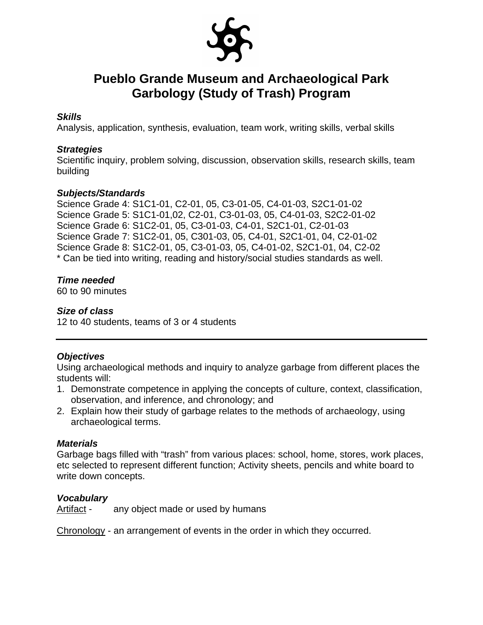

#### *Skills*

Analysis, application, synthesis, evaluation, team work, writing skills, verbal skills

#### *Strategies*

Scientific inquiry, problem solving, discussion, observation skills, research skills, team building

#### *Subjects/Standards*

Science Grade 4: S1C1-01, C2-01, 05, C3-01-05, C4-01-03, S2C1-01-02 Science Grade 5: S1C1-01,02, C2-01, C3-01-03, 05, C4-01-03, S2C2-01-02 Science Grade 6: S1C2-01, 05, C3-01-03, C4-01, S2C1-01, C2-01-03 Science Grade 7: S1C2-01, 05, C301-03, 05, C4-01, S2C1-01, 04, C2-01-02 Science Grade 8: S1C2-01, 05, C3-01-03, 05, C4-01-02, S2C1-01, 04, C2-02 \* Can be tied into writing, reading and history/social studies standards as well.

#### *Time needed*

60 to 90 minutes

#### *Size of class*

12 to 40 students, teams of 3 or 4 students

#### *Objectives*

Using archaeological methods and inquiry to analyze garbage from different places the students will:

- 1. Demonstrate competence in applying the concepts of culture, context, classification, observation, and inference, and chronology; and
- 2. Explain how their study of garbage relates to the methods of archaeology, using archaeological terms.

#### *Materials*

Garbage bags filled with "trash" from various places: school, home, stores, work places, etc selected to represent different function; Activity sheets, pencils and white board to write down concepts.

#### *Vocabulary*

Artifact - any object made or used by humans

Chronology - an arrangement of events in the order in which they occurred.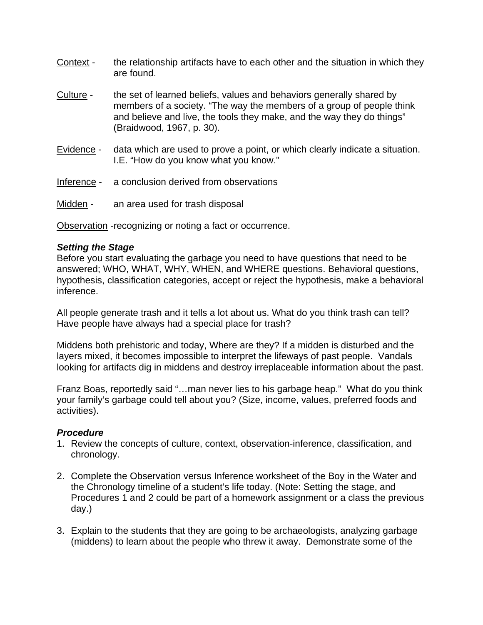- Context the relationship artifacts have to each other and the situation in which they are found.
- Culture the set of learned beliefs, values and behaviors generally shared by members of a society. "The way the members of a group of people think and believe and live, the tools they make, and the way they do things" (Braidwood, 1967, p. 30).
- Evidence data which are used to prove a point, or which clearly indicate a situation. I.E. "How do you know what you know."
- Inference a conclusion derived from observations
- Midden an area used for trash disposal

Observation -recognizing or noting a fact or occurrence.

#### *Setting the Stage*

Before you start evaluating the garbage you need to have questions that need to be answered; WHO, WHAT, WHY, WHEN, and WHERE questions. Behavioral questions, hypothesis, classification categories, accept or reject the hypothesis, make a behavioral inference.

All people generate trash and it tells a lot about us. What do you think trash can tell? Have people have always had a special place for trash?

Middens both prehistoric and today, Where are they? If a midden is disturbed and the layers mixed, it becomes impossible to interpret the lifeways of past people. Vandals looking for artifacts dig in middens and destroy irreplaceable information about the past.

Franz Boas, reportedly said "…man never lies to his garbage heap." What do you think your family's garbage could tell about you? (Size, income, values, preferred foods and activities).

#### *Procedure*

- 1. Review the concepts of culture, context, observation-inference, classification, and chronology.
- 2. Complete the Observation versus Inference worksheet of the Boy in the Water and the Chronology timeline of a student's life today. (Note: Setting the stage, and Procedures 1 and 2 could be part of a homework assignment or a class the previous day.)
- 3. Explain to the students that they are going to be archaeologists, analyzing garbage (middens) to learn about the people who threw it away. Demonstrate some of the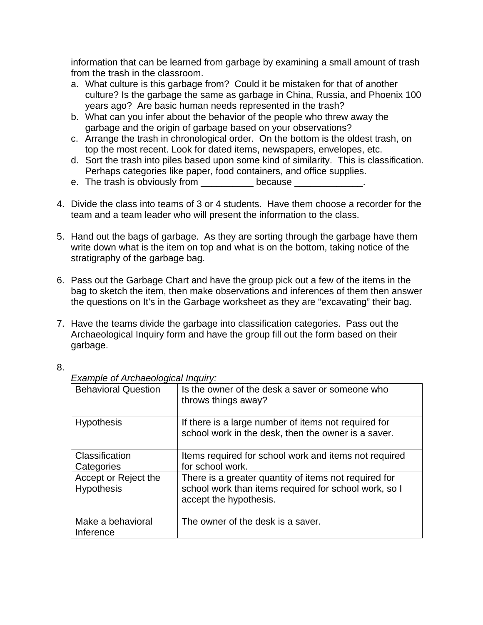information that can be learned from garbage by examining a small amount of trash from the trash in the classroom.

- a. What culture is this garbage from? Could it be mistaken for that of another culture? Is the garbage the same as garbage in China, Russia, and Phoenix 100 years ago? Are basic human needs represented in the trash?
- b. What can you infer about the behavior of the people who threw away the garbage and the origin of garbage based on your observations?
- c. Arrange the trash in chronological order. On the bottom is the oldest trash, on top the most recent. Look for dated items, newspapers, envelopes, etc.
- d. Sort the trash into piles based upon some kind of similarity. This is classification. Perhaps categories like paper, food containers, and office supplies.
- e. The trash is obviously from \_\_\_\_\_\_\_\_\_\_ because \_\_\_\_\_\_\_\_\_\_\_\_\_.
- 4. Divide the class into teams of 3 or 4 students. Have them choose a recorder for the team and a team leader who will present the information to the class.
- 5. Hand out the bags of garbage. As they are sorting through the garbage have them write down what is the item on top and what is on the bottom, taking notice of the stratigraphy of the garbage bag.
- 6. Pass out the Garbage Chart and have the group pick out a few of the items in the bag to sketch the item, then make observations and inferences of them then answer the questions on It's in the Garbage worksheet as they are "excavating" their bag.
- 7. Have the teams divide the garbage into classification categories. Pass out the Archaeological Inquiry form and have the group fill out the form based on their garbage.

8.

| <b>Behavioral Question</b>                | Is the owner of the desk a saver or someone who<br>throws things away?                                                                   |
|-------------------------------------------|------------------------------------------------------------------------------------------------------------------------------------------|
| <b>Hypothesis</b>                         | If there is a large number of items not required for<br>school work in the desk, then the owner is a saver.                              |
| Classification                            | Items required for school work and items not required                                                                                    |
| Categories                                | for school work.                                                                                                                         |
| Accept or Reject the<br><b>Hypothesis</b> | There is a greater quantity of items not required for<br>school work than items required for school work, so I<br>accept the hypothesis. |
|                                           |                                                                                                                                          |
| Make a behavioral<br>Inference            | The owner of the desk is a saver.                                                                                                        |

#### *Example of Archaeological Inquiry:*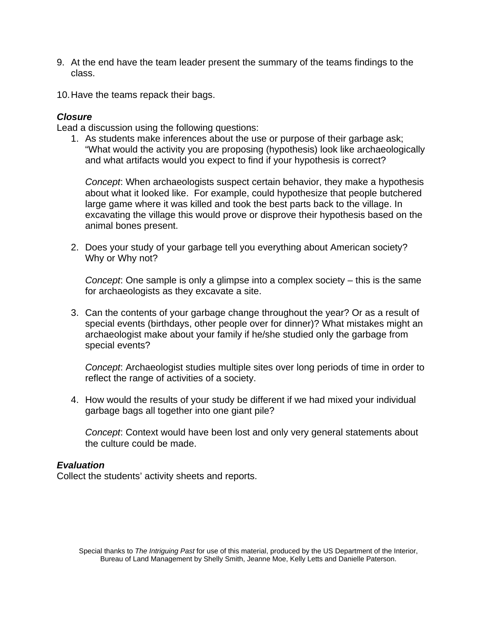- 9. At the end have the team leader present the summary of the teams findings to the class.
- 10. Have the teams repack their bags.

#### *Closure*

Lead a discussion using the following questions:

1. As students make inferences about the use or purpose of their garbage ask; "What would the activity you are proposing (hypothesis) look like archaeologically and what artifacts would you expect to find if your hypothesis is correct?

*Concept*: When archaeologists suspect certain behavior, they make a hypothesis about what it looked like. For example, could hypothesize that people butchered large game where it was killed and took the best parts back to the village. In excavating the village this would prove or disprove their hypothesis based on the animal bones present.

2. Does your study of your garbage tell you everything about American society? Why or Why not?

*Concept*: One sample is only a glimpse into a complex society – this is the same for archaeologists as they excavate a site.

3. Can the contents of your garbage change throughout the year? Or as a result of special events (birthdays, other people over for dinner)? What mistakes might an archaeologist make about your family if he/she studied only the garbage from special events?

*Concept*: Archaeologist studies multiple sites over long periods of time in order to reflect the range of activities of a society.

4. How would the results of your study be different if we had mixed your individual garbage bags all together into one giant pile?

*Concept*: Context would have been lost and only very general statements about the culture could be made.

#### *Evaluation*

Collect the students' activity sheets and reports.

Special thanks to *The Intriguing Past* for use of this material, produced by the US Department of the Interior, Bureau of Land Management by Shelly Smith, Jeanne Moe, Kelly Letts and Danielle Paterson.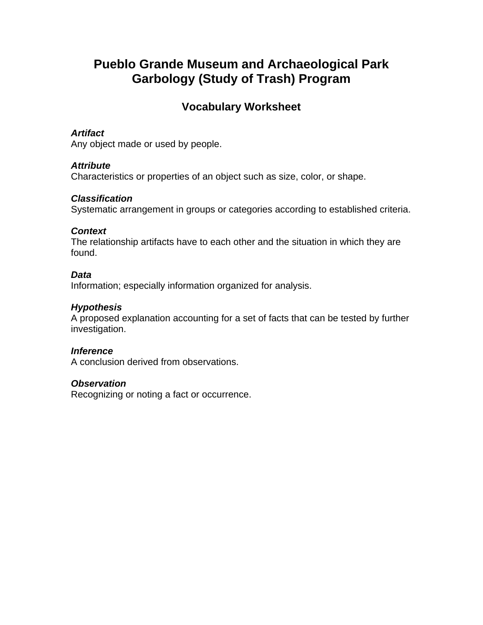### **Vocabulary Worksheet**

#### *Artifact*

Any object made or used by people.

#### *Attribute*

Characteristics or properties of an object such as size, color, or shape.

#### *Classification*

Systematic arrangement in groups or categories according to established criteria.

#### *Context*

The relationship artifacts have to each other and the situation in which they are found.

#### *Data*

Information; especially information organized for analysis.

#### *Hypothesis*

A proposed explanation accounting for a set of facts that can be tested by further investigation.

#### *Inference*

A conclusion derived from observations.

#### *Observation*

Recognizing or noting a fact or occurrence.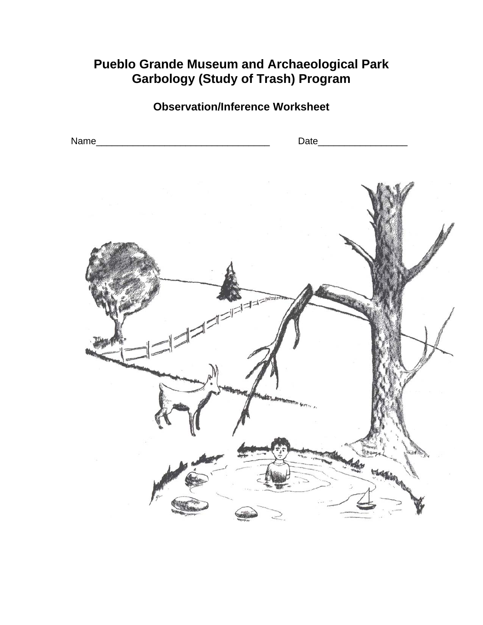### **Observation/Inference Worksheet**

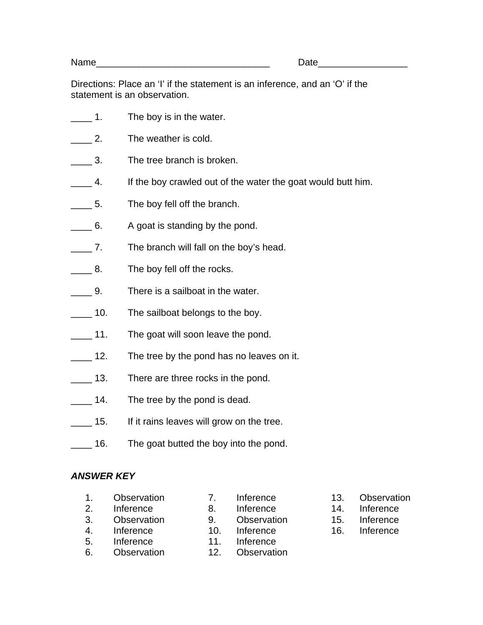Name **Name** 

Directions: Place an 'I' if the statement is an inference, and an 'O' if the statement is an observation.

- **1.** The boy is in the water.
- **2.** The weather is cold.
- **12.** 3. The tree branch is broken.
- **1.** 4. If the boy crawled out of the water the goat would butt him.
- 5. The boy fell off the branch.
- 6. A goat is standing by the pond.
- \_\_\_\_ 7. The branch will fall on the boy's head.
- **8.** The boy fell off the rocks.
- \_\_\_\_ 9. There is a sailboat in the water.
- 10. The sailboat belongs to the boy.
- 11. The goat will soon leave the pond.
- 12. The tree by the pond has no leaves on it.
- 13. There are three rocks in the pond.
- **14.** The tree by the pond is dead.
- 15. If it rains leaves will grow on the tree.
- 16. The goat butted the boy into the pond.

#### *ANSWER KEY*

- 1. Observation
- 2. Inference
- 3. Observation
- 4. Inference 5. Inference
- 10. Inference
- 6. Observation
- 11. Inference

7. Inference 8. Inference 9. Observation

- 12. Observation
- 13. Observation
- 14. Inference
- 15. Inference
- 16. Inference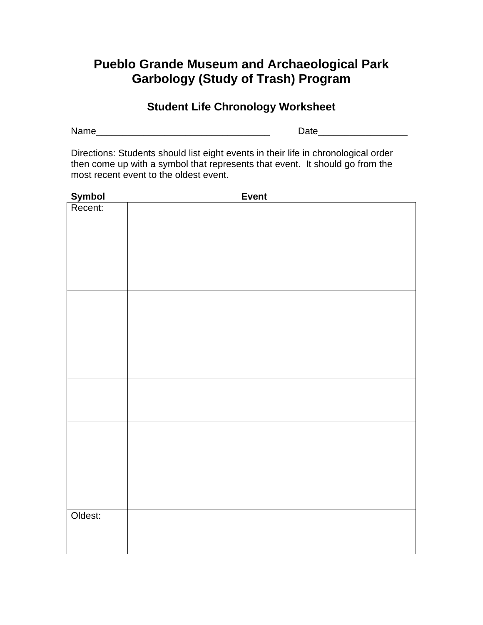### **Student Life Chronology Worksheet**

Name and the set of the set of the set of the set of the Date of the Set of the Set of the Set of the Set of the Set of the Set of the Set of the Set of the Set of the Set of the Set of the Set of the Set of the Set of the

Directions: Students should list eight events in their life in chronological order then come up with a symbol that represents that event. It should go from the most recent event to the oldest event.

|                   | <b>Event</b> |
|-------------------|--------------|
| Symbol<br>Recent: |              |
|                   |              |
|                   |              |
|                   |              |
|                   |              |
|                   |              |
|                   |              |
|                   |              |
|                   |              |
|                   |              |
|                   |              |
|                   |              |
|                   |              |
|                   |              |
|                   |              |
|                   |              |
|                   |              |
|                   |              |
|                   |              |
|                   |              |
|                   |              |
|                   |              |
|                   |              |
|                   |              |
|                   |              |
|                   |              |
|                   |              |
|                   |              |
| Oldest:           |              |
|                   |              |
|                   |              |
|                   |              |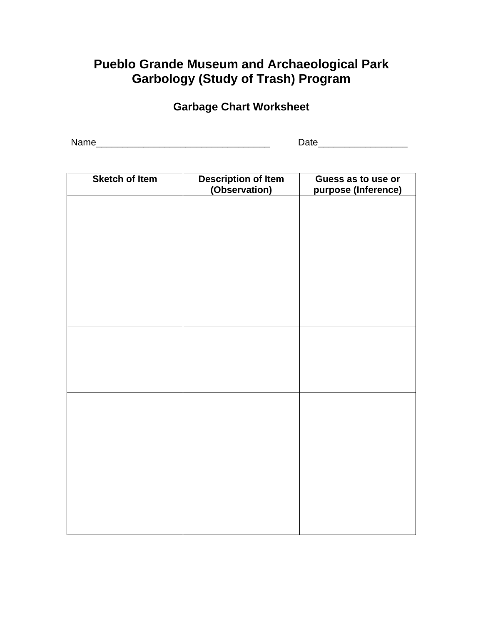# **Garbage Chart Worksheet**

Name\_\_\_\_\_\_\_\_\_\_\_\_\_\_\_\_\_\_\_\_\_\_\_\_\_\_\_\_\_\_\_\_\_ Date\_\_\_\_\_\_\_\_\_\_\_\_\_\_\_\_\_

| <b>Sketch of Item</b> | <b>Description of Item</b><br>(Observation) | Guess as to use or<br>purpose (Inference) |
|-----------------------|---------------------------------------------|-------------------------------------------|
|                       |                                             |                                           |
|                       |                                             |                                           |
|                       |                                             |                                           |
|                       |                                             |                                           |
|                       |                                             |                                           |
|                       |                                             |                                           |
|                       |                                             |                                           |
|                       |                                             |                                           |
|                       |                                             |                                           |
|                       |                                             |                                           |
|                       |                                             |                                           |
|                       |                                             |                                           |
|                       |                                             |                                           |
|                       |                                             |                                           |
|                       |                                             |                                           |
|                       |                                             |                                           |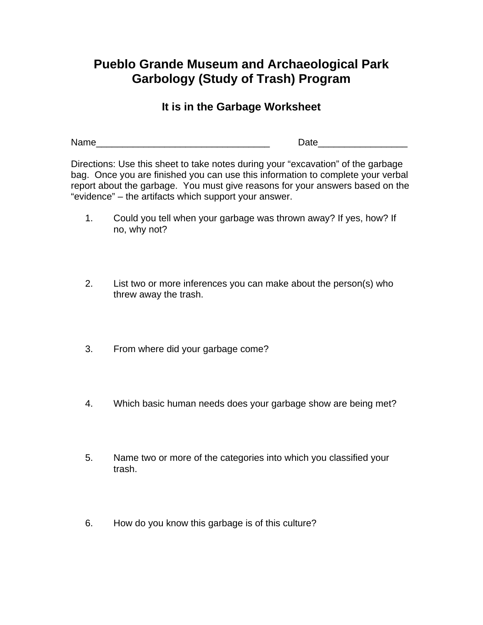### **It is in the Garbage Worksheet**

Name **Name** 

Directions: Use this sheet to take notes during your "excavation" of the garbage bag. Once you are finished you can use this information to complete your verbal report about the garbage. You must give reasons for your answers based on the "evidence" – the artifacts which support your answer.

- 1. Could you tell when your garbage was thrown away? If yes, how? If no, why not?
- 2. List two or more inferences you can make about the person(s) who threw away the trash.
- 3. From where did your garbage come?
- 4. Which basic human needs does your garbage show are being met?
- 5. Name two or more of the categories into which you classified your trash.
- 6. How do you know this garbage is of this culture?